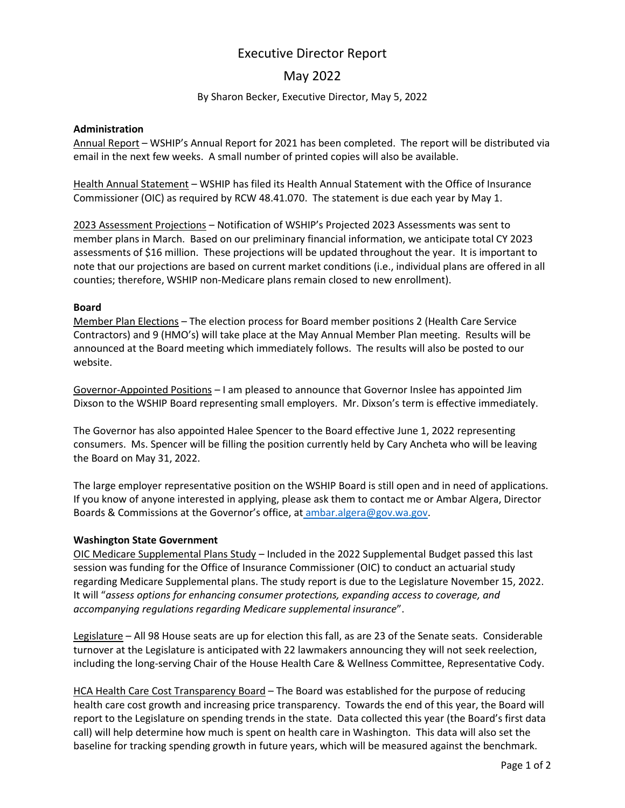# Executive Director Report

# May 2022

### By Sharon Becker, Executive Director, May 5, 2022

#### **Administration**

Annual Report – WSHIP's Annual Report for 2021 has been completed. The report will be distributed via email in the next few weeks. A small number of printed copies will also be available.

Health Annual Statement – WSHIP has filed its Health Annual Statement with the Office of Insurance Commissioner (OIC) as required by RCW 48.41.070. The statement is due each year by May 1.

2023 Assessment Projections – Notification of WSHIP's Projected 2023 Assessments was sent to member plans in March. Based on our preliminary financial information, we anticipate total CY 2023 assessments of \$16 million. These projections will be updated throughout the year. It is important to note that our projections are based on current market conditions (i.e., individual plans are offered in all counties; therefore, WSHIP non-Medicare plans remain closed to new enrollment).

#### **Board**

Member Plan Elections – The election process for Board member positions 2 (Health Care Service Contractors) and 9 (HMO's) will take place at the May Annual Member Plan meeting. Results will be announced at the Board meeting which immediately follows. The results will also be posted to our website.

Governor-Appointed Positions – I am pleased to announce that Governor Inslee has appointed Jim Dixson to the WSHIP Board representing small employers. Mr. Dixson's term is effective immediately.

The Governor has also appointed Halee Spencer to the Board effective June 1, 2022 representing consumers. Ms. Spencer will be filling the position currently held by Cary Ancheta who will be leaving the Board on May 31, 2022.

The large employer representative position on the WSHIP Board is still open and in need of applications. If you know of anyone interested in applying, please ask them to contact me or Ambar Algera, Director Boards & Commissions at the Governor's office, at [ambar.algera@gov.wa.gov.](mailto:ambar.algera@gov.wa.gov)

#### **Washington State Government**

OIC Medicare Supplemental Plans Study – Included in the 2022 Supplemental Budget passed this last session was funding for the Office of Insurance Commissioner (OIC) to conduct an actuarial study regarding Medicare Supplemental plans. The study report is due to the Legislature November 15, 2022. It will "*assess options for enhancing consumer protections, expanding access to coverage, and accompanying regulations regarding Medicare supplemental insurance*".

Legislature – All 98 House seats are up for election this fall, as are 23 of the Senate seats. Considerable turnover at the Legislature is anticipated with 22 lawmakers announcing they will not seek reelection, including the long-serving Chair of the House Health Care & Wellness Committee, Representative Cody.

HCA Health Care Cost Transparency Board – The Board was established for the purpose of reducing health care cost growth and increasing price transparency. Towards the end of this year, the Board will report to the Legislature on spending trends in the state. Data collected this year (the Board's first data call) will help determine how much is spent on health care in Washington. This data will also set the baseline for tracking spending growth in future years, which will be measured against the benchmark.